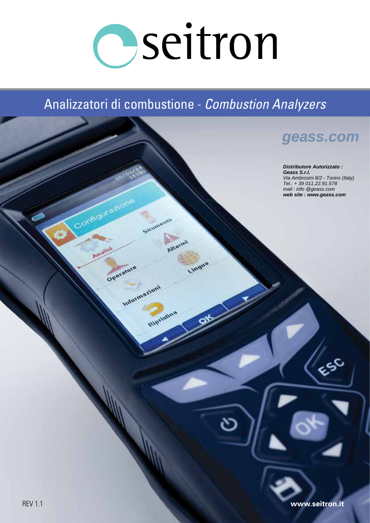# Oseitron

## Analizzatori di combustione - *Combustion Analyzers*

Strumento

Ripilstina

Alla

Lingua

Configura

Analy

Operatore

Informazioni

## **[geass.com](http://www.geass.com)**

**Distributore Autorizzato : Geass S.r.l.** Via Ambrosini 8/2 - Torino (Italy) Tel.: + 39 011.22.91.578 mail : info @geass.com **web site : www.geass.com**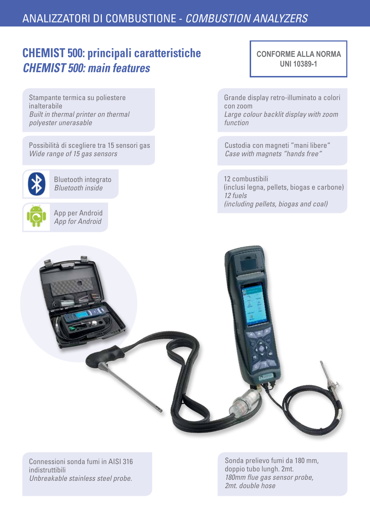## **CHEMIST 500: principali caratteristiche**  *CHEMIST 500: main features*

Stampante termica su poliestere inalterabile *Built in thermal printer on thermal polyester unerasable*

Possibilità di scegliere tra 15 sensori gas *Wide range of 15 gas sensors* 



Bluetooth integrato *Bluetooth inside*

App per Android *App for Android*

**CONFORME ALLA NORMA UNI 10389-1**

Grande display retro-illuminato a colori con zoom *Large colour backlit display with zoom function*

Custodia con magneti "mani libere" *Case with magnets "hands free"*

12 combustibili (inclusi legna, pellets, biogas e carbone) *12 fuels (including pellets, biogas and coal)*



Connessioni sonda fumi in AISI 316 indistruttibili *Unbreakable stainless steel probe.*

Sonda prelievo fumi da 180 mm, doppio tubo lungh. 2mt. *180mm flue gas sensor probe, 2mt. double hose*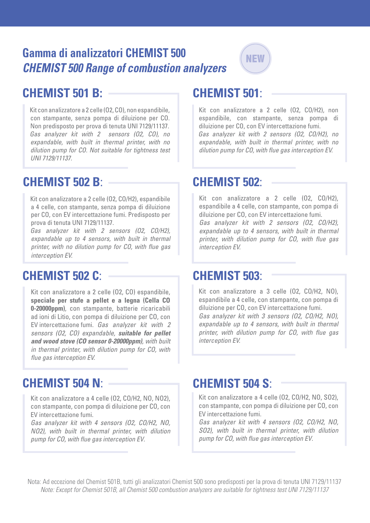## **Gamma di analizzatori CHEMIST 500**  *CHEMIST 500 Range of combustion analyzers*



## **CHEMIST 501 B:**

Kit con analizzatore a 2 celle (O2, CO), non espandibile, con stampante, senza pompa di diluizione per CO. Non predisposto per prova di tenuta UNI 7129/11137. *Gas analyzer kit with 2 sensors (O2, CO), no expandable, with built in thermal printer, with no dilution pump for CO. Not suitable for tightness test UNI 7129/11137.*

## **CHEMIST 502 B**:

Kit con analizzatore a 2 celle (O2, CO/H2), espandibile a 4 celle, con stampante, senza pompa di diluizione per CO, con EV intercettazione fumi. Predisposto per prova di tenuta UNI 7129/11137.

*Gas analyzer kit with 2 sensors (O2, CO/H2), expandable up to 4 sensors, with built in thermal printer, with no dilution pump for CO, with flue gas interception EV.*

## **CHEMIST 502 C**:

Kit con analizzatore a 2 celle (O2, CO) espandibile, **speciale per stufe a pellet e a legna (Cella CO 0-20000ppm)**, con stampante, batterie ricaricabili ad ioni di Litio, con pompa di diluizione per CO, con EV intercettazione fumi. *Gas analyzer kit with 2 sensors (O2, CO) expandable, suitable for pellet and wood stove (CO sensor 0-20000ppm), with built in thermal printer, with dilution pump for CO, with flue gas interception EV.*

## **CHEMIST 504 N**: **CHEMIST 504 S**:

Kit con analizzatore a 4 celle (O2, CO/H2, NO, NO2), con stampante, con pompa di diluizione per CO, con EV intercettazione fumi.

*Gas analyzer kit with 4 sensors (O2, CO/H2, NO, NO2), with built in thermal printer, with dilution pump for CO, with flue gas interception EV.*

## **CHEMIST 501**:

Kit con analizzatore a 2 celle (O2, CO/H2), non espandibile, con stampante, senza pompa di diluizione per CO, con EV intercettazione fumi. *Gas analyzer kit with 2 sensors (O2, CO/H2), no expandable, with built in thermal printer, with no dilution pump for CO, with flue gas interception EV.*

## **CHEMIST 502**:

Kit con analizzatore a 2 celle (O2, CO/H2), espandibile a 4 celle, con stampante, con pompa di diluizione per CO, con EV intercettazione fumi. *Gas analyzer kit with 2 sensors (O2, CO/H2), expandable up to 4 sensors, with built in thermal printer, with dilution pump for CO, with flue gas interception EV.*

## **CHEMIST 503**:

Kit con analizzatore a 3 celle (O2, CO/H2, NO), espandibile a 4 celle, con stampante, con pompa di diluizione per CO, con EV intercettazione fumi. *Gas analyzer kit with 3 sensors (O2, CO/H2, NO), expandable up to 4 sensors, with built in thermal printer, with dilution pump for CO, with flue gas interception EV.*

Kit con analizzatore a 4 celle (O2, CO/H2, NO, SO2), con stampante, con pompa di diluizione per CO, con EV intercettazione fumi.

*Gas analyzer kit with 4 sensors (O2, CO/H2, NO, SO2), with built in thermal printer, with dilution pump for CO, with flue gas interception EV.*

Nota: Ad eccezione del Chemist 501B, tutti gli analizzatori Chemist 500 sono predisposti per la prova di tenuta UNI 7129/11137 *Note: Except for Chemist 501B, all Chemist 500 combustion analyzers are suitable for tightness test UNI 7129/11137*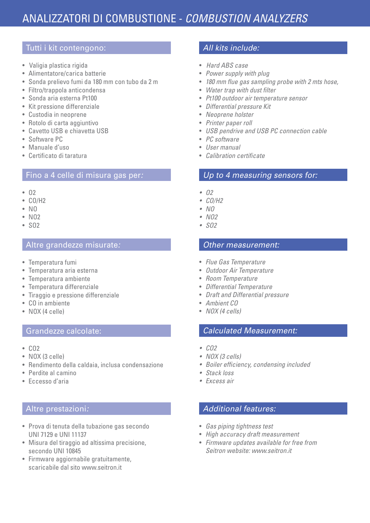#### Tutti i kit contengono:

- Valigia plastica rigida
- Alimentatore/carica batterie
- Sonda prelievo fumi da 180 mm con tubo da 2 m
- Filtro/trappola anticondensa
- Sonda aria esterna Pt100
- Kit pressione differenziale
- Custodia in neoprene
- Rotolo di carta aggiuntivo
- Cavetto USB e chiavetta USB
- Software PC
- Manuale d'uso
- Certificato di taratura

#### Fino a 4 celle di misura gas per*:*

- O2
- CO/H2
- $\cdot$  NO
- $\bullet$  NO<sub>2</sub>
- SO2

#### Altre grandezze misurate*:*

- Temperatura fumi
- Temperatura aria esterna
- Temperatura ambiente
- Temperatura differenziale
- Tiraggio e pressione differenziale
- CO in ambiente
- NOX (4 celle)

#### Grandezze calcolate:

- CO2
- NOX (3 celle)
- Rendimento della caldaia, inclusa condensazione
- Perdite al camino
- Eccesso d'aria

#### Altre prestazioni*:*

- Prova di tenuta della tubazione gas secondo UNI 7129 e UNI 11137
- Misura del tiraggio ad altissima precisione, secondo UNI 10845
- Firmware aggiornabile gratuitamente, scaricabile dal sito www.seitron.it

#### *All kits include:*

- *Hard ABS case*
- *Power supply with plug*
- *180 mm flue gas sampling probe with 2 mts hose,*
- *Water trap with dust filter*
- *Pt100 outdoor air temperature sensor*
- *Differential pressure Kit*
- *Neoprene holster*
- *Printer paper roll*
- *USB pendrive and USB PC connection cable*
- *PC software*
- *User manual*
- *Calibration certificate*

#### *Up to 4 measuring sensors for:*

- O2
- CO/H2
- $\bullet$  NO
- $\cdot$  NO<sub>2</sub>
- $\cdot$  SO<sub>2</sub>

#### *Other measurement:*

- *Flue Gas Temperature*
- *Outdoor Air Temperature*
- *Room Temperature*
- *Differential Temperature*
- *Draft and Differential pressure*
- *Ambient CO*
- *NOX (4 cells)*

#### *Calculated Measurement:*

- CO2
- NOX (3 cells)
- Boiler efficiency, condensing included
- Stack loss
- Excess air

#### *Additional features:*

- *Gas piping tightness test*
- *High accuracy draft measurement*
- *Firmware updates available for free from Seitron website: www.seitron.it*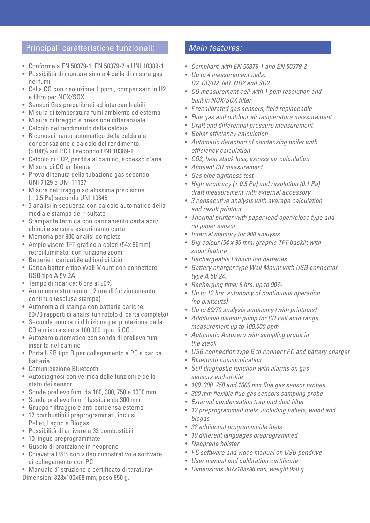#### Principali caratteristiche funzionali:

- Conforme a EN 50379-1, EN 50379-2 e UNI 10389-1
- Possibilità di montare sino a 4 celle di misura gas nei fumi
- Cella CO con risoluzione 1 ppm , compensato in H2 e filtro per NOX/SOX
- Sensori Gas precalibrati ed intercambiabili
- Misura di temperatura fumi ambiente ed esterna
- Misura di tiraggio e pressione differenziale
- Calcolo del rendimento della caldaia
- Riconoscimento automatico della caldaia a condensazione e calcolo del rendimento (>100% sul P.C.I.) secondo UNI 10389-1
- Calcolo di CO2, perdita al camino, eccesso d'aria
- Misura di CO ambiente
- Prova di tenuta della tubazione gas secondo UNI 7129 e UNI 11137
- Misura del tiraggio ad altissima precisione (± 0,5 Pa) secondo UNI 10845
- 3 analisi in sequenza con calcolo automatico della media e stampa del risultato
- Stampante termica con caricamento carta apri/ chiudi e sensore esaurimento carta
- Memoria per 900 analisi complete
- Ampio visore TFT grafico a colori (54x 96mm) retroilluminato, con funzione zoom
- Batterie ricaricabile ad ioni di Litio
- Carica batterie tipo Wall Mount con connettore USB tipo A 5V 2A
- Tempo di ricarica: 6 ore al 90%
- Autonomia strumento: 12 ore di funzionamento continuo (esclusa stampa)
- Autonomia di stampa con batterie cariche: 60/70 rapporti di analisi (un rotolo di carta completo)
- Seconda pompa di diluizione per protezione cella CO e misura sino a 100.000 ppm di CO
- Autozero automatico con sonda di prelievo fumi inserita nel camino
- Porta USB tipo B per collegamento a PC e carica batterie
- Comunicazione Bluetooth
- Autodiagnosi con verifica delle funzioni e dello stato dei sensori
- Sonde prelievo fumi da 180, 300, 750 e 1000 mm
- Sonda prelievo fumi f lessibile da 300 mm
- Gruppo f iltraggio e anti condensa esterno
- 12 combustibili preprogrammati, inclusi Pellet, Legno e Biogas
- Possibilità di arrivare a 32 combustibili
- 10 lingue preprogrammate
- Guscio di protezione in neoprene
- Chiavetta USB con video dimostrativo e software di collegamento con PC
- Manuale d'istruzione e certificato di taratura•
- Dimensioni 323x100x68 mm, peso 950 g.

#### *Main features:*

- *Compliant with EN 50379-1 and EN 50379-2*
- *Up to 4 measurement cells: O2, CO/H2, NO, NO2 and SO2*
- *CO measurement cell with 1 ppm resolution and built in NOX/SOX filter*
- *Precalibrated gas sensors, field replaceable*
- *Flue gas and outdoor air temperature measurement*
- *Draft and differential pressure measurement*
- *Boiler efficiency calculation*
- *Automatic detection of condensing boiler with efficiency calculation*
- *CO2, heat stack loss, excess air calculation*
- *Ambient CO measurement*
- *Gas pipe tightness test*
- *High accuracy (± 0.5 Pa) and resolution (0.1 Pa) draft measurement with external accessory*
- *3 consecutive analysis with average calculation and result printout*
- *Thermal printer with paper load open/close type and no paper sensor*
- *Internal memory for 900 analysis*
- *Big colour (54 x 96 mm) graphic TFT backlit with zoom feature*
- *Rechargeable Lithium Ion batteries*
- *Battery charger type Wall Mount with USB connector type A 5V 2A*
- *Recharging time: 6 hrs. up to 90%*
- *Up to 12 hrs. autonomy of continuous operation (no printouts)*
- *Up to 60/70 analysis autonomy (with printouts)*
- *Additional dilution pump for CO cell auto range, measurement up to 100.000 ppm*
- *Automatic Autozero with sampling probe in the stack*
- *USB connection type B to connect PC and battery charger*
- *Bluetooth communication*
- *Self diagnostic function with alarms on gas sensors end-of-life*
- *180, 300, 750 and 1000 mm flue gas sensor probes*
- *300 mm flexible flue gas sensors sampling probe*
- *External condensation trap and dust filter*
- *12 preprogrammed fuels, including pellets, wood and biogas*
- *32 additional programmable fuels*
- *10 different languages preprogrammed*
- *Neoprene holster*
- *PC software and video manual on USB pendrive*
- *User manual and calibration certificate*
- *Dimensions 307x105x96 mm, weight 950 g.*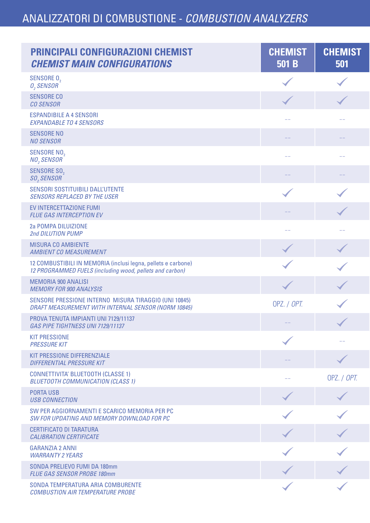| <b>PRINCIPALI CONFIGURAZIONI CHEMIST</b><br><b>CHEMIST MAIN CONFIGURATIONS</b>                                            | <b>CHEMIST</b><br>501 B | <b>CHEMIST</b><br>501                    |
|---------------------------------------------------------------------------------------------------------------------------|-------------------------|------------------------------------------|
| SENSORE 0,<br>$O2$ SENSOR                                                                                                 |                         |                                          |
| <b>SENSORE CO</b><br><b>CO SENSOR</b>                                                                                     | $\blacktriangledown$    |                                          |
| <b>ESPANDIBILE A 4 SENSORI</b><br><b>EXPANDABLE TO 4 SENSORS</b>                                                          | $ -$                    | $ -$                                     |
| <b>SENSORE NO</b><br><b>NO SENSOR</b>                                                                                     |                         |                                          |
| SENSORE NO <sub>2</sub><br>$NO2$ SENSOR                                                                                   |                         |                                          |
| SENSORE SO <sub>2</sub><br>$SO2$ SENSOR                                                                                   |                         |                                          |
| SENSORI SOSTITUIBILI DALL'UTENTE<br><b>SENSORS REPLACED BY THE USER</b>                                                   |                         |                                          |
| EV INTERCETTAZIONE FUMI<br><b>FLUE GAS INTERCEPTION EV</b>                                                                |                         |                                          |
| 2a POMPA DILUIZIONE<br>2nd DILUTION PUMP                                                                                  |                         |                                          |
| <b>MISURA CO AMBIENTE</b><br><b>AMBIENT CO MEASUREMENT</b>                                                                |                         |                                          |
| 12 COMBUSTIBILI IN MEMORIA (inclusi legna, pellets e carbone)<br>12 PROGRAMMED FUELS (including wood, pellets and carbon) |                         |                                          |
| <b>MEMORIA 900 ANALISI</b><br><b>MEMORY FOR 900 ANALYSIS</b>                                                              |                         |                                          |
| SENSORE PRESSIONE INTERNO MISURA TIRAGGIO (UNI 10845)<br>DRAFT MEASUREMENT WITH INTERNAL SENSOR (NORM 10845)              | OPZ. / OPT.             |                                          |
| PROVA TENUTA IMPIANTI UNI 7129/11137<br>GAS PIPE TIGHTNESS UNI 7129/11137                                                 | $--$                    | $\overline{\phantom{a}}$<br>$\checkmark$ |
| <b>KIT PRESSIONE</b><br><b>PRESSURE KIT</b>                                                                               |                         | $\qquad \qquad -$                        |
| KIT PRESSIONE DIFFERENZIALE<br><b>DIFFERENTIAL PRESSURE KIT</b>                                                           |                         |                                          |
| <b>CONNETTIVITA' BLUETOOTH (CLASSE 1)</b><br><b>BLUETOOTH COMMUNICATION (CLASS 1)</b>                                     | $- -$                   | OPZ. / OPT.                              |
| <b>PORTA USB</b><br><b>USB CONNECTION</b>                                                                                 |                         |                                          |
| SW PER AGGIORNAMENTI E SCARICO MEMORIA PER PC<br>SW FOR UPDATING AND MEMORY DOWNLOAD FOR PC                               |                         |                                          |
| <b>CERTIFICATO DI TARATURA</b><br><b>CALIBRATION CERTIFICATE</b>                                                          |                         |                                          |
| <b>GARANZIA 2 ANNI</b><br><b>WARRANTY 2 YEARS</b>                                                                         |                         |                                          |
| SONDA PRELIEVO FUMI DA 180mm<br>FLUE GAS SENSOR PROBE 180mm                                                               |                         |                                          |
| SONDA TEMPERATURA ARIA COMBURENTE<br><b>COMBUSTION AIR TEMPERATURE PROBE</b>                                              | $\blacktriangledown$    |                                          |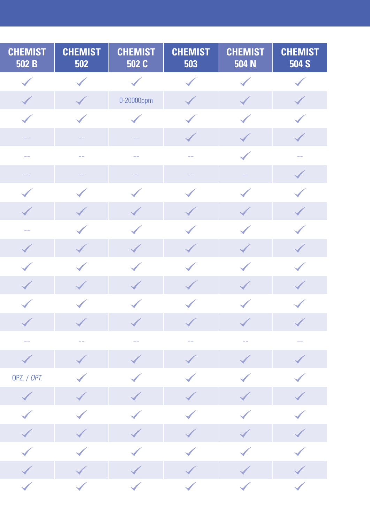| <b>CHEMIST</b><br>502 B | <b>CHEMIST</b><br>502 | <b>CHEMIST</b><br>502 C | <b>CHEMIST</b><br>503 | <b>CHEMIST</b><br>504 N | <b>CHEMIST</b><br><b>504 S</b> |
|-------------------------|-----------------------|-------------------------|-----------------------|-------------------------|--------------------------------|
| $\blacktriangledown$    |                       |                         | $\sqrt{2}$            |                         | $\blacktriangledown$           |
| $\checkmark$            | $\blacktriangledown$  | 0-20000ppm              | $\blacktriangledown$  | $\blacktriangledown$    | $\blacktriangledown$           |
| $\blacktriangledown$    |                       |                         | $\blacktriangledown$  | $\blacktriangledown$    |                                |
|                         |                       |                         | $\checkmark$          | $\blacktriangledown$    | $\checkmark$                   |
| $\qquad \qquad -$       |                       | $ -$                    | $- -$                 |                         | $\longrightarrow$              |
| $\frac{1}{2}$           |                       |                         | $\qquad \qquad -$     |                         |                                |
| $\blacktriangledown$    |                       |                         |                       |                         |                                |
| $\blacktriangledown$    |                       |                         |                       |                         |                                |
| $\qquad \qquad -$       |                       |                         | $\blacktriangledown$  |                         |                                |
| <b>SI</b>               |                       | $\checkmark$            | $\blacktriangledown$  |                         | <b>SANN</b>                    |
| $\blacktriangledown$    |                       |                         |                       |                         |                                |
| <b>SILLER</b>           | $\blacktriangledown$  | $\checkmark$            | $\blacktriangledown$  |                         | $\checkmark$                   |
| $\blacktriangledown$    |                       |                         |                       |                         |                                |
|                         |                       |                         |                       |                         |                                |
|                         |                       |                         |                       |                         |                                |
| $\blacktriangledown$    | $\blacktriangledown$  | $\blacktriangledown$    | $\blacktriangledown$  |                         |                                |
| OPZ. / OPT.             | $\blacktriangledown$  |                         |                       | $\diagdown$             |                                |
| $\blacktriangledown$    |                       | $\blacktriangledown$    | $\blacktriangledown$  | $\blacklozenge$         | $\blacktriangledown$           |
| $\bigvee$               |                       |                         | $\bigvee$             |                         | $\blacktriangledown$           |
| $\blacktriangledown$    | $\blacktriangledown$  | $\blacktriangledown$    | $\blacktriangledown$  | $\blacktriangledown$    | $\blacklozenge$                |
| $\blacktriangledown$    | $\blacklozenge$       | $\bigvee$               | $\bigvee$             |                         | $\blacktriangledown$           |
| $\blacktriangledown$    | $\blacktriangledown$  | $\blacktriangledown$    | $\checkmark$          | $\blacklozenge$         |                                |
|                         | $\blacktriangledown$  | $\blacktriangledown$    | $\diagdown$           | $\bigvee$               |                                |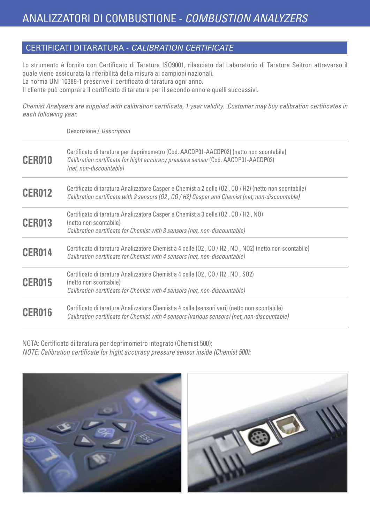#### CERTIFICATI DI TARATURA - *CALIBRATION CERTIFICATE*

Lo strumento è fornito con Certificato di Taratura ISO9001, rilasciato dal Laboratorio di Taratura Seitron attraverso il quale viene assicurata la riferibilità della misura ai campioni nazionali. La norma UNI 10389-1 prescrive il certificato di taratura ogni anno.

Il cliente può comprare il certificato di taratura per il secondo anno e quelli successivi.

*Chemist Analysers are supplied with calibration certificate, 1 year validity. Customer may buy calibration certificates in each following year.*

Descrizione / *Description*

| <b>CER010</b> | Certificato di taratura per deprimometro (Cod. AACDP01-AACDP02) (netto non scontabile)<br>Calibration certificate for hight accuracy pressure sensor (Cod. AACDP01-AACDP02)<br>(net, non-discountable)  |
|---------------|---------------------------------------------------------------------------------------------------------------------------------------------------------------------------------------------------------|
| <b>CER012</b> | Certificato di taratura Analizzatore Casper e Chemist a 2 celle (02, CO / H2) (netto non scontabile)<br>Calibration certificate with 2 sensors (02, CO / H2) Casper and Chemist (net, non-discountable) |
| <b>CER013</b> | Certificato di taratura Analizzatore Casper e Chemist a 3 celle (02, CO / H2, NO)<br>(netto non scontabile)<br>Calibration certificate for Chemist with 3 sensors (net, non-discountable)               |
| <b>CER014</b> | Certificato di taratura Analizzatore Chemist a 4 celle (02, CO / H2, NO, NO2) (netto non scontabile)<br>Calibration certificate for Chemist with 4 sensors (net, non-discountable)                      |
| <b>CER015</b> | Certificato di taratura Analizzatore Chemist a 4 celle (02, CO / H2, NO, SO2)<br>(netto non scontabile)<br>Calibration certificate for Chemist with 4 sensors (net, non-discountable)                   |
| <b>CER016</b> | Certificato di taratura Analizzatore Chemist a 4 celle (sensori vari) (netto non scontabile)<br>Calibration certificate for Chemist with 4 sensors (various sensors) (net, non-discountable)            |

NOTA: Certificato di taratura per deprimometro integrato (Chemist 500): *NOTE: Calibration certificate for hight accuracy pressure sensor inside (Chemist 500):* 



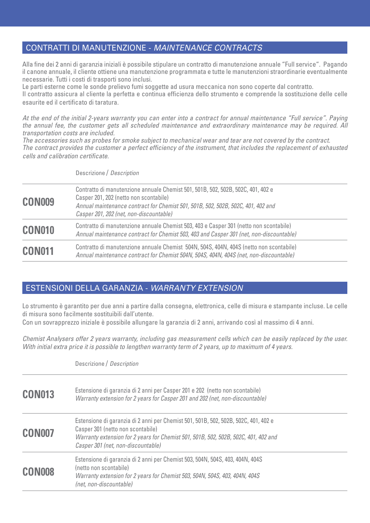#### CONTRATTI DI MANUTENZIONE - *MAINTENANCE CONTRACTS*

Alla fine dei 2 anni di garanzia iniziali è possibile stipulare un contratto di manutenzione annuale "Full service". Pagando il canone annuale, il cliente ottiene una manutenzione programmata e tutte le manutenzioni straordinarie eventualmente necessarie. Tutti i costi di trasporti sono inclusi.

Le parti esterne come le sonde prelievo fumi soggette ad usura meccanica non sono coperte dal contratto.

Il contratto assicura al cliente la perfetta e continua efficienza dello strumento e comprende la sostituzione delle celle esaurite ed il certificato di taratura.

*At the end of the initial 2-years warranty you can enter into a contract for annual maintenance "Full service". Paying the annual fee, the customer gets all scheduled maintenance and extraordinary maintenance may be required. All transportation costs are included.*

*The accessories such as probes for smoke subject to mechanical wear and tear are not covered by the contract. The contract provides the customer a perfect efficiency of the instrument, that includes the replacement of exhausted cells and calibration certificate.*

Descrizione / *Description*

| <b>CON009</b> | Contratto di manutenzione annuale Chemist 501, 501B, 502, 502B, 502C, 401, 402 e<br>Casper 201, 202 (netto non scontabile)<br>Annual maintenance contract for Chemist 501, 501B, 502, 502B, 502C, 401, 402 and<br>Casper 201, 202 (net, non-discountable) |  |
|---------------|-----------------------------------------------------------------------------------------------------------------------------------------------------------------------------------------------------------------------------------------------------------|--|
| <b>CON010</b> | Contratto di manutenzione annuale Chemist 503, 403 e Casper 301 (netto non scontabile)<br>Annual maintenance contract for Chemist 503, 403 and Casper 301 (net, non-discountable)                                                                         |  |
| <b>CON011</b> | Contratto di manutenzione annuale Chemist 504N, 504S, 404N, 404S (netto non scontabile)<br>Annual maintenance contract for Chemist 504N, 504S, 404N, 404S (net, non-discountable)                                                                         |  |

#### ESTENSIONI DELLA GARANZIA - *WARRANTY EXTENSION*

Lo strumento è garantito per due anni a partire dalla consegna, elettronica, celle di misura e stampante incluse. Le celle di misura sono facilmente sostituibili dall'utente.

Con un sovrapprezzo iniziale è possibile allungare la garanzia di 2 anni, arrivando così al massimo di 4 anni.

*Chemist Analysers offer 2 years warranty, including gas measurement cells which can be easily replaced by the user. With initial extra price it is possible to lengthen warranty term of 2 years, up to maximum of 4 years.*

|               | Descrizione / Description                                                                                                                                                                                                                             |
|---------------|-------------------------------------------------------------------------------------------------------------------------------------------------------------------------------------------------------------------------------------------------------|
| <b>CON013</b> | Estensione di garanzia di 2 anni per Casper 201 e 202 (netto non scontabile)<br>Warranty extension for 2 years for Casper 201 and 202 (net, non-discountable)                                                                                         |
| <b>CON007</b> | Estensione di garanzia di 2 anni per Chemist 501, 501B, 502, 502B, 502C, 401, 402 e<br>Casper 301 (netto non scontabile)<br>Warranty extension for 2 years for Chemist 501, 501B, 502, 502B, 502C, 401, 402 and<br>Casper 301 (net, non-discountable) |
| <b>CONOO8</b> | Estensione di garanzia di 2 anni per Chemist 503, 504N, 504S, 403, 404N, 404S<br>(netto non scontabile)<br>Warranty extension for 2 years for Chemist 503, 504N, 504S, 403, 404N, 404S<br>(net, non-discountable)                                     |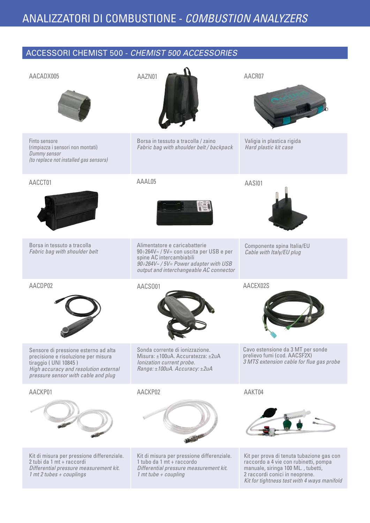#### ACCESSORI CHEMIST 500 - *CHEMIST 500 ACCESSORIES*

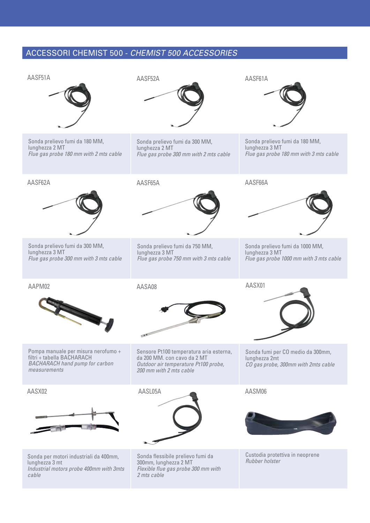#### ACCESSORI CHEMIST 500 - *CHEMIST 500 ACCESSORIES*

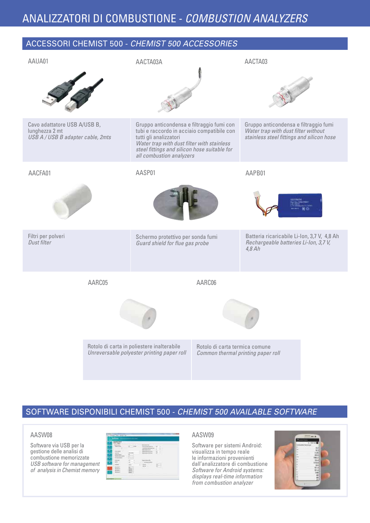ACCESSORI CHEMIST 500 - *CHEMIST 500 ACCESSORIES*

#### AACPM01 Cavo adattatore USB A/USB B, tubi e raccordo in acciaio compatibile con lunghezza 2 mt *USB A / USB B adapter cable, 2mts* AAUA01 Gruppo anticondensa e filtraggio fumi *Water trap with dust filter without stainless steel fittings and silicon hose* AACTA03 Schermo protettivo per sonda fumi *Guard shield for flue gas probe* AASP01 AAPB01 Batteria ricaricabile Li-Ion, 3,7 V, 4,8 Ah *Rechargeable batteries Li-Ion, 3,7 V, 4,8 Ah* AACFA01 Filtri per polveri *Dust filter* AACTA03A Gruppo anticondensa e filtraggio fumi con tutti gli analizzatori *Water trap with dust filter with stainless steel fittings and silicon hose suitable for all combustion analyzers* AARC06 Rotolo di carta termica comune *Common thermal printing paper roll* AARC05 Rotolo di carta in poliestere inalterabile *Unreversable polyester printing paper roll*

#### SOFTWARE DISPONIBILI CHEMIST 500 - *CHEMIST 500 AVAILABLE SOFTWARE*

#### AASW08

Software via USB per la gestione delle analisi di combustione memorizzate *USB software for management of analysis in Chemist memory*

|  | ٠<br>÷ |  |
|--|--------|--|
|  |        |  |
|  |        |  |

#### AASW09

Software per sistemi Android: visualizza in tempo reale le informazioni provenienti dall'analizzatore di combustione *Software for Android systems: displays real-time information from combustion analyzer*

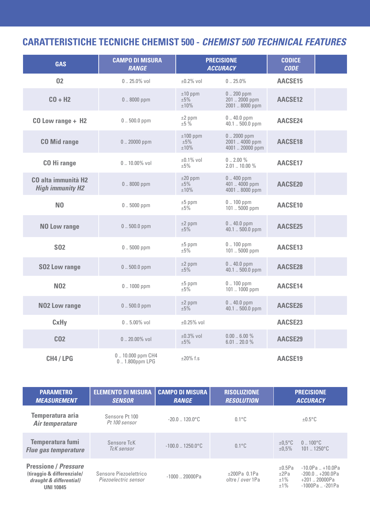## **CARATTERISTICHE TECNICHE CHEMIST 500 -** *CHEMIST 500 TECHNICAL FEATURES*

| <b>GAS</b>                                                        | <b>CAMPO DI MISURA</b><br><b>RANGE</b> |                              | <b>PRECISIONE</b><br><b>ACCURACY</b>              | <b>CODICE</b><br><b>CODE</b> |  |
|-------------------------------------------------------------------|----------------------------------------|------------------------------|---------------------------------------------------|------------------------------|--|
| 02                                                                | $0.25.0\%$ vol                         | $\pm 0.2\%$ vol              | $0.25.0\%$                                        | AACSE15                      |  |
| $CO + H2$                                                         | $0.8000$ ppm                           | $±10$ ppm<br>±5%<br>$±10\%$  | $0.200$ ppm<br>201  2000 ppm<br>2001  8000 ppm    | AACSE12                      |  |
| CO Low range + H2                                                 | $0.500.0$ ppm                          | $±2$ ppm<br>±5%              | $0.40.0$ ppm<br>40.1  500.0 ppm                   | AACSE24                      |  |
| <b>CO Mid range</b>                                               | $0.20000$ ppm                          | $±100$ ppm<br>±5%<br>$±10\%$ | $0.2000$ ppm<br>2001  4000 ppm<br>4001  20000 ppm | AACSE18                      |  |
| <b>CO</b> Hi range                                                | $0.10.00\%$ vol                        | $±0.1\%$ vol<br>±5%          | $0.200\%$<br>$2.0110.00\%$                        | AACSE17                      |  |
| <b>CO</b> alta immunità H <sub>2</sub><br><b>High immunity H2</b> | $0.8000$ ppm                           | $±20$ ppm<br>±5%<br>±10%     | $0.400$ ppm<br>401  4000 ppm<br>4001  8000 ppm    | AACSE20                      |  |
| N <sub>0</sub>                                                    | $0.5000$ ppm                           | $±5$ ppm<br>$\pm 5\%$        | $0.100$ ppm<br>101  5000 ppm                      | AACSE10                      |  |
| <b>NO Low range</b>                                               | $0.500.0$ ppm                          | $±2$ ppm<br>±5%              | $0.40.0$ ppm<br>40.1  500.0 ppm                   | AACSE25                      |  |
| <b>SO2</b>                                                        | $0.5000$ ppm                           | $±5$ ppm<br>±5%              | $0.100$ ppm<br>101  5000 ppm                      | AACSE13                      |  |
| <b>SO2 Low range</b>                                              | $0.500.0$ ppm                          | $±2$ ppm<br>$±5\%$           | $0.40.0$ ppm<br>40.1  500.0 ppm                   | AACSE28                      |  |
| <b>N02</b>                                                        | $0.1000$ ppm                           | $±5$ ppm<br>±5%              | $0.100$ ppm<br>101  1000 ppm                      | AACSE14                      |  |
| <b>NO2 Low range</b>                                              | $0.500.0$ ppm                          | $±2$ ppm<br>±5%              | $0.40.0$ ppm<br>40.1  500.0 ppm                   | AACSE26                      |  |
| CxHy                                                              | $0.5.00\%$ vol                         | $±0.25%$ vol                 |                                                   | AACSE23                      |  |
| C <sub>02</sub>                                                   | $0.20.00\%$ vol                        | $\pm 0.3\%$ vol<br>±5%       | $0.006.00\%$<br>$6.01$ $\ldots$ 20.0 %            | AACSE29                      |  |
| CH4 / LPG                                                         | $0.10.000$ ppm $CH4$<br>01.800ppm LPG  | $\pm 20\%$ f.s               |                                                   | AACSE19                      |  |

| <b>PARAMETRO</b><br><b>MEASUREMENT</b>                                                                   | <b>ELEMENTO DI MISURA</b><br><b>SENSOR</b>     | <b>CAMPO DI MISURA</b><br><b>RANGE</b> | <b>RISOLUZIONE</b><br><b>RESOLUTION</b> | <b>PRECISIONE</b><br><b>ACCURACY</b>                                                                                             |
|----------------------------------------------------------------------------------------------------------|------------------------------------------------|----------------------------------------|-----------------------------------------|----------------------------------------------------------------------------------------------------------------------------------|
| Temperatura aria<br>Air temperature                                                                      | Sensore Pt 100<br>Pt 100 sensor                | $-20.0$ $\ldots$ 120.0 $^{\circ}$ C    | $0.1^{\circ}$ C                         | $\pm 0.5$ °C                                                                                                                     |
| Temperatura fumi<br><b>Flue gas temperature</b>                                                          | Sensore TcK<br>TcK sensor                      | $-100.0$ $\ldots$ 1250.0 $^{\circ}$ C  | $0.1^{\circ}$ C                         | $0.100^{\circ}$ C<br>$±0,5^{\circ}$ C<br>$1011250^{\circ}C$<br>±0.5%                                                             |
| <b>Pressione / Pressure</b><br>(tiraggio & differenziale/<br>draught & differential)<br><b>UNI 10845</b> | Sensore Piezoelettrico<br>Piezoelectric sensor | $-1000$ $\ldots$ 20000Pa               | $±200Pa$ 0.1Pa<br>oltre / over 1Pa      | $-10.0$ Pa $+10.0$ Pa<br>$\pm 0.5$ Pa<br>±2Pa<br>$-200.0$ $+200.0$ Pa<br>$±1\%$<br>+201  20000Pa<br>$±1\%$<br>$-1000Pa$ $-201Pa$ |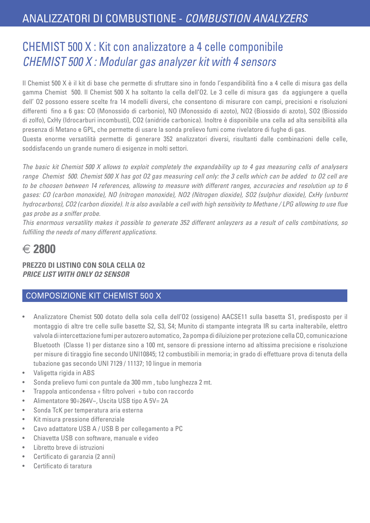## CHEMIST 500 X : Kit con analizzatore a 4 celle componibile *CHEMIST 500 X : Modular gas analyzer kit with 4 sensors*

Il Chemist 500 X è il kit di base che permette di sfruttare sino in fondo l'espandibilità fino a 4 celle di misura gas della gamma Chemist 500. Il Chemist 500 X ha soltanto la cella dell'O2. Le 3 celle di misura gas da aggiungere a quella dell' O2 possono essere scelte fra 14 modelli diversi, che consentono di misurare con campi, precisioni e risoluzioni differenti fino a 6 gas: CO (Monossido di carbonio), NO (Monossido di azoto), NO2 (Biossido di azoto), SO2 (Biossido di zolfo), CxHy (Idrocarburi incombusti), CO2 (anidride carbonica). Inoltre è disponibile una cella ad alta sensibilità alla presenza di Metano e GPL, che permette di usare la sonda prelievo fumi come rivelatore di fughe di gas.

Questa enorme versatilità permette di generare 352 analizzatori diversi, risultanti dalle combinazioni delle celle, soddisfacendo un grande numero di esigenze in molti settori.

*The basic kit Chemist 500 X allows to exploit completely the expandability up to 4 gas measuring cells of analysers range Chemist 500. Chemist 500 X has got O2 gas measuring cell only: the 3 cells which can be added to O2 cell are to be choosen between 14 references, allowing to measure with different ranges, accuracies and resolution up to 6 gases: CO (carbon monoxide), NO (nitrogen monoxide), NO2 (Nitrogen dioxide), SO2 (sulphur dioxide), CxHy (unburnt hydrocarbons), CO2 (carbon dioxide). It is also available a cell with high sensitivity to Methane / LPG allowing to use flue gas probe as a sniffer probe.*

*This enormous versatility makes it possible to generate 352 different anlayzers as a result of cells combinations, so fulfilling the needs of many different applications.*

## $\epsilon$  2800

**PREZZO DI LISTINO CON SOLA CELLA O2** *PRICE LIST WITH ONLY O2 SENSOR*

#### COMPOSIZIONE KIT CHEMIST 500 X

- Analizzatore Chemist 500 dotato della sola cella dell'O2 (ossigeno) AACSE11 sulla basetta S1, predisposto per il montaggio di altre tre celle sulle basette S2, S3, S4; Munito di stampante integrata IR su carta inalterabile, elettro valvola di intercettazione fumi per autozero automatico, 2a pompa di diluizione per protezione cella CO, comunicazione Bluetooth (Classe 1) per distanze sino a 100 mt, sensore di pressione interno ad altissima precisione e risoluzione per misure di tiraggio fine secondo UNI10845; 12 combustibili in memoria; in grado di effettuare prova di tenuta della tubazione gas secondo UNI 7129 / 11137; 10 lingue in memoria
- Valigetta rigida in ABS
- Sonda prelievo fumi con puntale da 300 mm , tubo lunghezza 2 mt.
- Trappola anticondensa + filtro polveri + tubo con raccordo
- Alimentatore 90÷264V~, Uscita USB tipo A 5V= 2A
- Sonda TcK per temperatura aria esterna
- Kit misura pressione differenziale
- Cavo adattatore USB A / USB B per collegamento a PC
- Chiavetta USB con software, manuale e video
- Libretto breve di istruzioni
- Certificato di garanzia (2 anni)
- Certificato di taratura